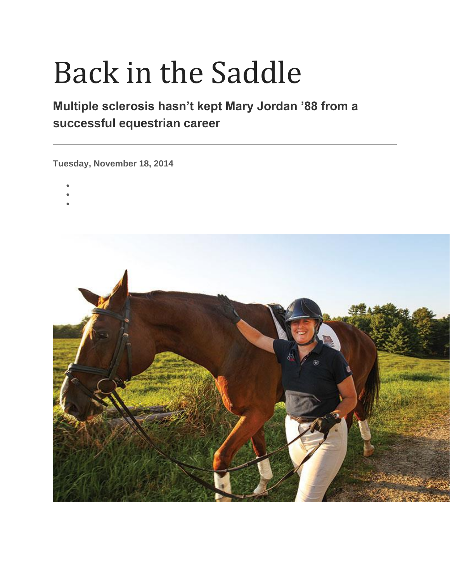## Back in the Saddle

## **Multiple sclerosis hasn't kept Mary Jordan '88 from a successful equestrian career**

**Tuesday, November 18, 2014**

- •
- •
- •

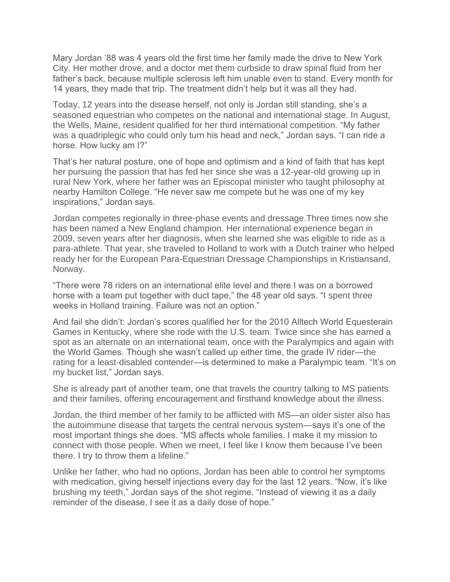Mary Jordan '88 was 4 years old the first time her family made the drive to New York City. Her mother drove, and a doctor met them curbside to draw spinal fluid from her father's back, because multiple sclerosis left him unable even to stand. Every month for 14 years, they made that trip. The treatment didn't help but it was all they had.

Today, 12 years into the disease herself, not only is Jordan still standing, she's a seasoned equestrian who competes on the national and international stage. In August, the Wells, Maine, resident qualified for her third international competition. "My father was a quadriplegic who could only turn his head and neck," Jordan says. "I can ride a horse. How lucky am I?"

That's her natural posture, one of hope and optimism and a kind of faith that has kept her pursuing the passion that has fed her since she was a 12-year-old growing up in rural New York, where her father was an Episcopal minister who taught philosophy at nearby Hamilton College. "He never saw me compete but he was one of my key inspirations," Jordan says.

Jordan competes regionally in three-phase events and dressage.Three times now she has been named a New England champion. Her international experience began in 2009, seven years after her diagnosis, when she learned she was eligible to ride as a para-athlete. That year, she traveled to Holland to work with a Dutch trainer who helped ready her for the European Para-Equestrian Dressage Championships in Kristiansand, Norway.

"There were 78 riders on an international elite level and there I was on a borrowed horse with a team put together with duct tape," the 48 year old says. "I spent three weeks in Holland training. Failure was not an option."

And fail she didn't: Jordan's scores qualified her for the 2010 Alltech World Equesterain Games in Kentucky, where she rode with the U.S. team. Twice since she has earned a spot as an alternate on an international team, once with the Paralympics and again with the World Games. Though she wasn't called up either time, the grade IV rider—the rating for a least-disabled contender—is determined to make a Paralympic team. "It's on my bucket list," Jordan says.

She is already part of another team, one that travels the country talking to MS patients and their families, offering encouragement and firsthand knowledge about the illness.

Jordan, the third member of her family to be afflicted with MS—an older sister also has the autoimmune disease that targets the central nervous system—says it's one of the most important things she does. "MS affects whole families. I make it my mission to connect with those people. When we meet, I feel like I know them because I've been there. I try to throw them a lifeline."

Unlike her father, who had no options, Jordan has been able to control her symptoms with medication, giving herself injections every day for the last 12 years. "Now, it's like brushing my teeth," Jordan says of the shot regime. "Instead of viewing it as a daily reminder of the disease, I see it as a daily dose of hope."